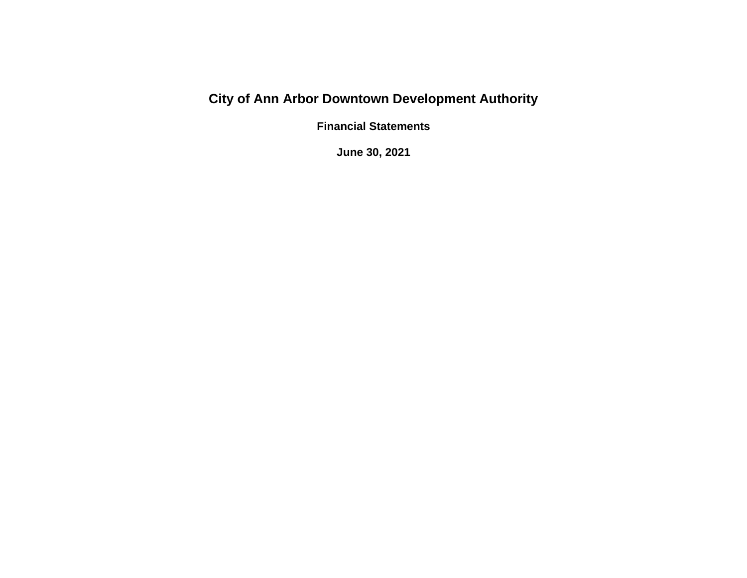# **City of Ann Arbor Downtown Development Authority**

**Financial Statements**

**June 30, 2021**

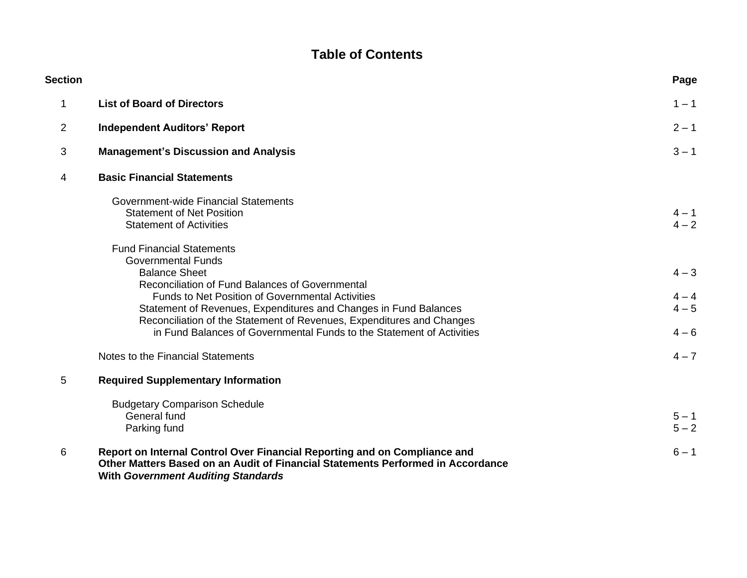# **Table of Contents**

| <b>Section</b> |                                                                                                                                                                                                           | Page               |
|----------------|-----------------------------------------------------------------------------------------------------------------------------------------------------------------------------------------------------------|--------------------|
| 1              | <b>List of Board of Directors</b>                                                                                                                                                                         | $1 - 1$            |
| $\overline{2}$ | <b>Independent Auditors' Report</b>                                                                                                                                                                       | $2 - 1$            |
| 3              | <b>Management's Discussion and Analysis</b>                                                                                                                                                               | $3 - 1$            |
| 4              | <b>Basic Financial Statements</b>                                                                                                                                                                         |                    |
|                | Government-wide Financial Statements<br><b>Statement of Net Position</b><br><b>Statement of Activities</b>                                                                                                | $4 - 1$<br>$4 - 2$ |
|                | <b>Fund Financial Statements</b><br><b>Governmental Funds</b>                                                                                                                                             |                    |
|                | <b>Balance Sheet</b><br>Reconciliation of Fund Balances of Governmental                                                                                                                                   | $4 - 3$            |
|                | <b>Funds to Net Position of Governmental Activities</b>                                                                                                                                                   | $4 - 4$            |
|                | Statement of Revenues, Expenditures and Changes in Fund Balances<br>Reconciliation of the Statement of Revenues, Expenditures and Changes                                                                 | $4 - 5$            |
|                | in Fund Balances of Governmental Funds to the Statement of Activities                                                                                                                                     | $4 - 6$            |
|                | Notes to the Financial Statements                                                                                                                                                                         | $4 - 7$            |
| 5              | <b>Required Supplementary Information</b>                                                                                                                                                                 |                    |
|                | <b>Budgetary Comparison Schedule</b>                                                                                                                                                                      |                    |
|                | General fund<br>Parking fund                                                                                                                                                                              | $5 - 1$<br>$5 - 2$ |
|                |                                                                                                                                                                                                           |                    |
| 6              | Report on Internal Control Over Financial Reporting and on Compliance and<br>Other Matters Based on an Audit of Financial Statements Performed in Accordance<br><b>With Government Auditing Standards</b> | $6 - 1$            |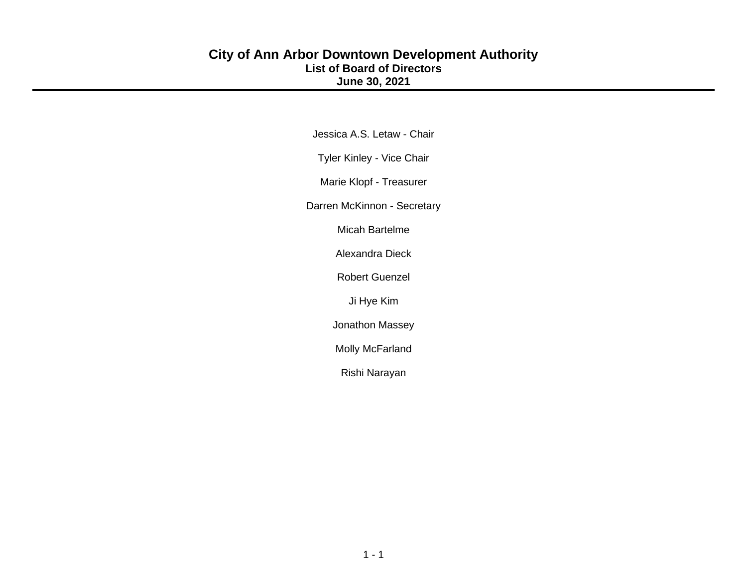# **City of Ann Arbor Downtown Development Authority List of Board of Directors June 30, 2021**

Jessica A.S. Letaw - Chair

Tyler Kinley - Vice Chair

Marie Klopf - Treasurer

Darren McKinnon - Secretary

Micah Bartelme

Alexandra Dieck

Robert Guenzel

Ji Hye Kim

Jonathon Massey

Molly McFarland

Rishi Narayan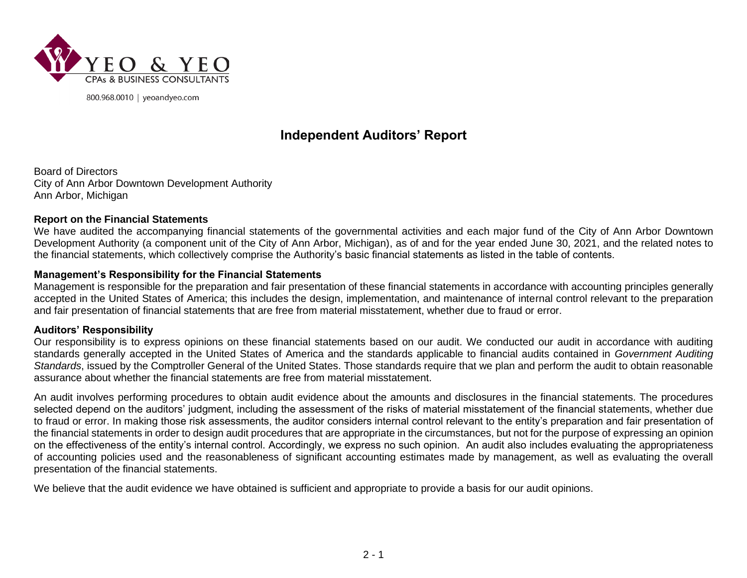

800.968.0010 | yeoandyeo.com

# **Independent Auditors' Report**

Board of Directors City of Ann Arbor Downtown Development Authority Ann Arbor, Michigan

### **Report on the Financial Statements**

We have audited the accompanying financial statements of the governmental activities and each major fund of the City of Ann Arbor Downtown Development Authority (a component unit of the City of Ann Arbor, Michigan), as of and for the year ended June 30, 2021, and the related notes to the financial statements, which collectively comprise the Authority's basic financial statements as listed in the table of contents.

# **Management's Responsibility for the Financial Statements**

Management is responsible for the preparation and fair presentation of these financial statements in accordance with accounting principles generally accepted in the United States of America; this includes the design, implementation, and maintenance of internal control relevant to the preparation and fair presentation of financial statements that are free from material misstatement, whether due to fraud or error.

### **Auditors' Responsibility**

Our responsibility is to express opinions on these financial statements based on our audit. We conducted our audit in accordance with auditing standards generally accepted in the United States of America and the standards applicable to financial audits contained in *Government Auditing Standards*, issued by the Comptroller General of the United States. Those standards require that we plan and perform the audit to obtain reasonable assurance about whether the financial statements are free from material misstatement.

An audit involves performing procedures to obtain audit evidence about the amounts and disclosures in the financial statements. The procedures selected depend on the auditors' judgment, including the assessment of the risks of material misstatement of the financial statements, whether due to fraud or error. In making those risk assessments, the auditor considers internal control relevant to the entity's preparation and fair presentation of the financial statements in order to design audit procedures that are appropriate in the circumstances, but not for the purpose of expressing an opinion on the effectiveness of the entity's internal control. Accordingly, we express no such opinion. An audit also includes evaluating the appropriateness of accounting policies used and the reasonableness of significant accounting estimates made by management, as well as evaluating the overall presentation of the financial statements.

We believe that the audit evidence we have obtained is sufficient and appropriate to provide a basis for our audit opinions.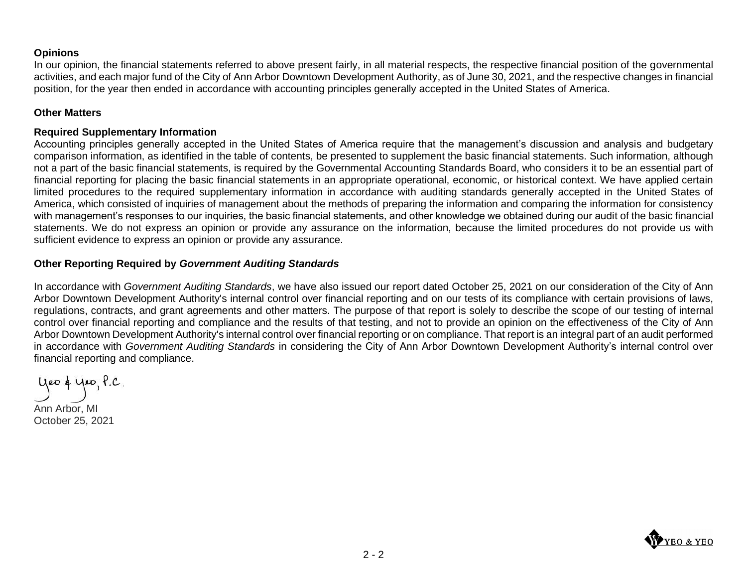# **Opinions**

In our opinion, the financial statements referred to above present fairly, in all material respects, the respective financial position of the governmental activities, and each major fund of the City of Ann Arbor Downtown Development Authority, as of June 30, 2021, and the respective changes in financial position, for the year then ended in accordance with accounting principles generally accepted in the United States of America.

#### **Other Matters**

#### **Required Supplementary Information**

Accounting principles generally accepted in the United States of America require that the management's discussion and analysis and budgetary comparison information, as identified in the table of contents, be presented to supplement the basic financial statements. Such information, although not a part of the basic financial statements, is required by the Governmental Accounting Standards Board, who considers it to be an essential part of financial reporting for placing the basic financial statements in an appropriate operational, economic, or historical context. We have applied certain limited procedures to the required supplementary information in accordance with auditing standards generally accepted in the United States of America, which consisted of inquiries of management about the methods of preparing the information and comparing the information for consistency with management's responses to our inquiries, the basic financial statements, and other knowledge we obtained during our audit of the basic financial statements. We do not express an opinion or provide any assurance on the information, because the limited procedures do not provide us with sufficient evidence to express an opinion or provide any assurance.

### **Other Reporting Required by** *Government Auditing Standards*

In accordance with *Government Auditing Standards*, we have also issued our report dated October 25, 2021 on our consideration of the City of Ann Arbor Downtown Development Authority's internal control over financial reporting and on our tests of its compliance with certain provisions of laws, regulations, contracts, and grant agreements and other matters. The purpose of that report is solely to describe the scope of our testing of internal control over financial reporting and compliance and the results of that testing, and not to provide an opinion on the effectiveness of the City of Ann Arbor Downtown Development Authority's internal control over financial reporting or on compliance. That report is an integral part of an audit performed in accordance with *Government Auditing Standards* in considering the City of Ann Arbor Downtown Development Authority's internal control over financial reporting and compliance.

yeo & yeo, P.C.

Ann Arbor, MI October 25, 2021

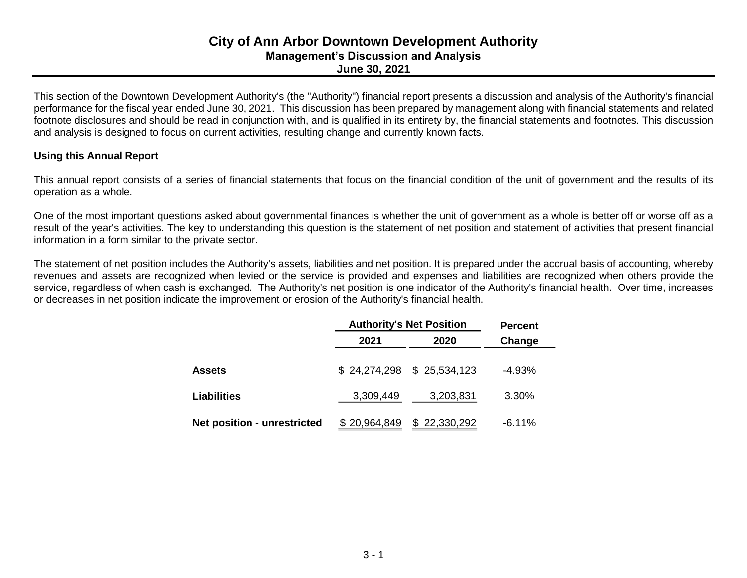# **City of Ann Arbor Downtown Development Authority Management's Discussion and Analysis June 30, 2021**

This section of the Downtown Development Authority's (the "Authority") financial report presents a discussion and analysis of the Authority's financial performance for the fiscal year ended June 30, 2021. This discussion has been prepared by management along with financial statements and related footnote disclosures and should be read in conjunction with, and is qualified in its entirety by, the financial statements and footnotes. This discussion and analysis is designed to focus on current activities, resulting change and currently known facts.

### **Using this Annual Report**

This annual report consists of a series of financial statements that focus on the financial condition of the unit of government and the results of its operation as a whole.

One of the most important questions asked about governmental finances is whether the unit of government as a whole is better off or worse off as a result of the year's activities. The key to understanding this question is the statement of net position and statement of activities that present financial information in a form similar to the private sector.

The statement of net position includes the Authority's assets, liabilities and net position. It is prepared under the accrual basis of accounting, whereby revenues and assets are recognized when levied or the service is provided and expenses and liabilities are recognized when others provide the service, regardless of when cash is exchanged. The Authority's net position is one indicator of the Authority's financial health. Over time, increases or decreases in net position indicate the improvement or erosion of the Authority's financial health.

|                                    | <b>Authority's Net Position</b> | <b>Percent</b>            |           |  |
|------------------------------------|---------------------------------|---------------------------|-----------|--|
|                                    | 2021                            | 2020                      | Change    |  |
| Assets                             |                                 | \$24,274,298 \$25,534,123 | $-4.93\%$ |  |
| Liabilities                        | 3,309,449                       | 3,203,831                 | 3.30%     |  |
| <b>Net position - unrestricted</b> | \$20,964,849                    | \$22,330,292              | $-6.11%$  |  |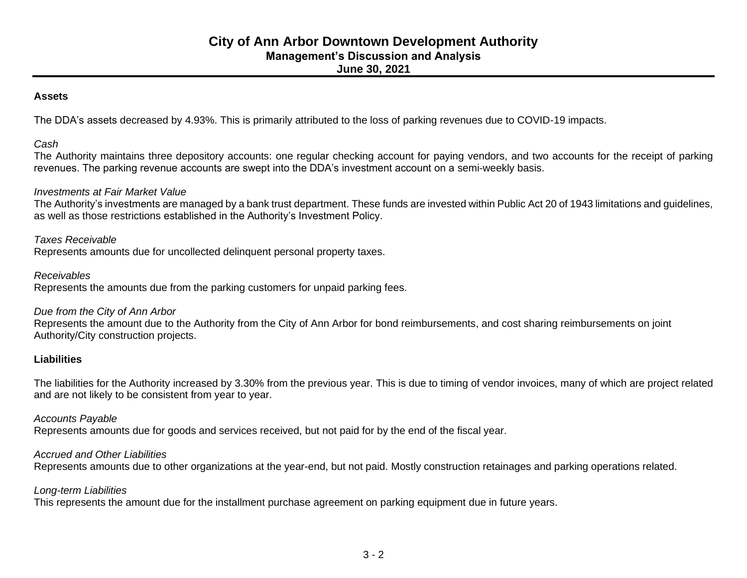#### **Assets**

The DDA's assets decreased by 4.93%. This is primarily attributed to the loss of parking revenues due to COVID-19 impacts.

*Cash*

The Authority maintains three depository accounts: one regular checking account for paying vendors, and two accounts for the receipt of parking revenues. The parking revenue accounts are swept into the DDA's investment account on a semi-weekly basis.

### *Investments at Fair Market Value*

The Authority's investments are managed by a bank trust department. These funds are invested within Public Act 20 of 1943 limitations and guidelines, as well as those restrictions established in the Authority's Investment Policy.

*Taxes Receivable* Represents amounts due for uncollected delinquent personal property taxes.

*Receivables*

Represents the amounts due from the parking customers for unpaid parking fees.

*Due from the City of Ann Arbor*

Represents the amount due to the Authority from the City of Ann Arbor for bond reimbursements, and cost sharing reimbursements on joint Authority/City construction projects.

# **Liabilities**

The liabilities for the Authority increased by 3.30% from the previous year. This is due to timing of vendor invoices, many of which are project related and are not likely to be consistent from year to year.

# *Accounts Payable*

Represents amounts due for goods and services received, but not paid for by the end of the fiscal year.

# *Accrued and Other Liabilities*

Represents amounts due to other organizations at the year-end, but not paid. Mostly construction retainages and parking operations related.

# *Long-term Liabilities*

This represents the amount due for the installment purchase agreement on parking equipment due in future years.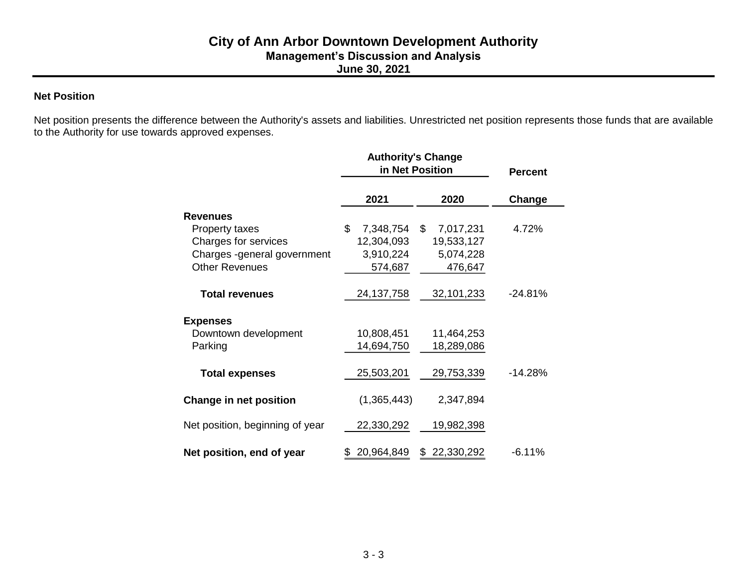# **Net Position**

Net position presents the difference between the Authority's assets and liabilities. Unrestricted net position represents those funds that are available to the Authority for use towards approved expenses.

|                                 | <b>Authority's Change</b><br>in Net Position | <b>Percent</b>  |           |  |
|---------------------------------|----------------------------------------------|-----------------|-----------|--|
|                                 | 2021                                         | 2020            | Change    |  |
| <b>Revenues</b>                 |                                              |                 |           |  |
| <b>Property taxes</b>           | \$<br>7,348,754                              | \$<br>7,017,231 | 4.72%     |  |
| Charges for services            | 12,304,093                                   | 19,533,127      |           |  |
| Charges -general government     | 3,910,224                                    | 5,074,228       |           |  |
| <b>Other Revenues</b>           | 574,687                                      | 476,647         |           |  |
| <b>Total revenues</b>           | 24, 137, 758                                 | 32,101,233      | $-24.81%$ |  |
| <b>Expenses</b>                 |                                              |                 |           |  |
| Downtown development            | 10,808,451                                   | 11,464,253      |           |  |
| Parking                         | 14,694,750                                   | 18,289,086      |           |  |
| <b>Total expenses</b>           | 25,503,201                                   | 29,753,339      | $-14.28%$ |  |
| <b>Change in net position</b>   | (1,365,443)                                  | 2,347,894       |           |  |
| Net position, beginning of year | 22,330,292                                   | 19,982,398      |           |  |
| Net position, end of year       | 20,964,849<br>\$                             | \$22,330,292    | $-6.11%$  |  |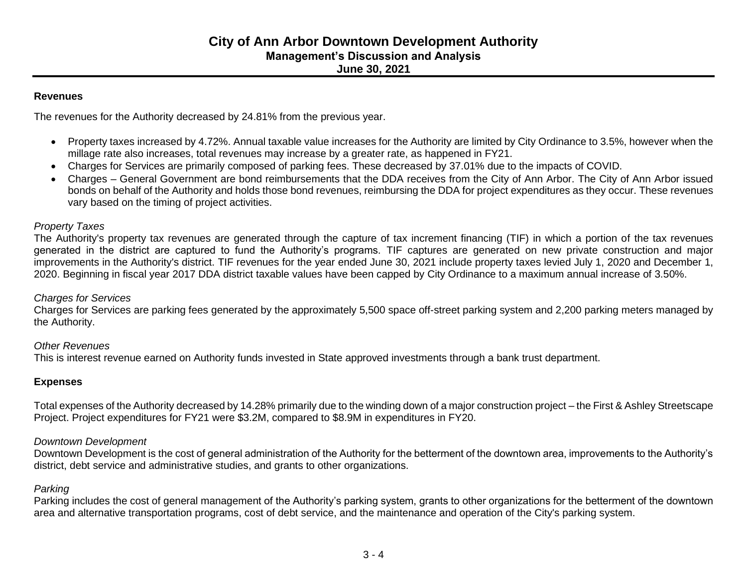### **Revenues**

The revenues for the Authority decreased by 24.81% from the previous year.

- Property taxes increased by 4.72%. Annual taxable value increases for the Authority are limited by City Ordinance to 3.5%, however when the millage rate also increases, total revenues may increase by a greater rate, as happened in FY21.
- Charges for Services are primarily composed of parking fees. These decreased by 37.01% due to the impacts of COVID.
- Charges General Government are bond reimbursements that the DDA receives from the City of Ann Arbor. The City of Ann Arbor issued bonds on behalf of the Authority and holds those bond revenues, reimbursing the DDA for project expenditures as they occur. These revenues vary based on the timing of project activities.

# *Property Taxes*

The Authority's property tax revenues are generated through the capture of tax increment financing (TIF) in which a portion of the tax revenues generated in the district are captured to fund the Authority's programs. TIF captures are generated on new private construction and major improvements in the Authority's district. TIF revenues for the year ended June 30, 2021 include property taxes levied July 1, 2020 and December 1, 2020. Beginning in fiscal year 2017 DDA district taxable values have been capped by City Ordinance to a maximum annual increase of 3.50%.

# *Charges for Services*

Charges for Services are parking fees generated by the approximately 5,500 space off-street parking system and 2,200 parking meters managed by the Authority.

# *Other Revenues*

This is interest revenue earned on Authority funds invested in State approved investments through a bank trust department.

# **Expenses**

Total expenses of the Authority decreased by 14.28% primarily due to the winding down of a major construction project – the First & Ashley Streetscape Project. Project expenditures for FY21 were \$3.2M, compared to \$8.9M in expenditures in FY20.

# *Downtown Development*

Downtown Development is the cost of general administration of the Authority for the betterment of the downtown area, improvements to the Authority's district, debt service and administrative studies, and grants to other organizations.

# *Parking*

Parking includes the cost of general management of the Authority's parking system, grants to other organizations for the betterment of the downtown area and alternative transportation programs, cost of debt service, and the maintenance and operation of the City's parking system.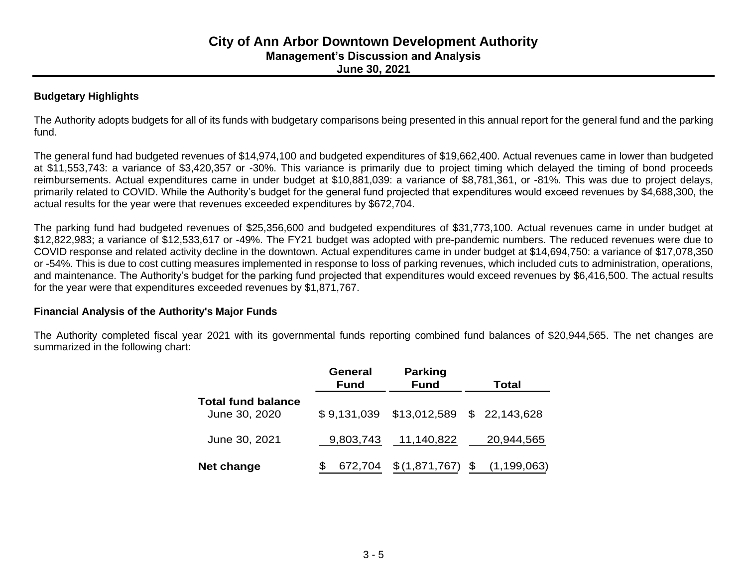# **Budgetary Highlights**

The Authority adopts budgets for all of its funds with budgetary comparisons being presented in this annual report for the general fund and the parking fund.

The general fund had budgeted revenues of \$14,974,100 and budgeted expenditures of \$19,662,400. Actual revenues came in lower than budgeted at \$11,553,743: a variance of \$3,420,357 or -30%. This variance is primarily due to project timing which delayed the timing of bond proceeds reimbursements. Actual expenditures came in under budget at \$10,881,039: a variance of \$8,781,361, or -81%. This was due to project delays, primarily related to COVID. While the Authority's budget for the general fund projected that expenditures would exceed revenues by \$4,688,300, the actual results for the year were that revenues exceeded expenditures by \$672,704.

The parking fund had budgeted revenues of \$25,356,600 and budgeted expenditures of \$31,773,100. Actual revenues came in under budget at \$12,822,983; a variance of \$12,533,617 or -49%. The FY21 budget was adopted with pre-pandemic numbers. The reduced revenues were due to COVID response and related activity decline in the downtown. Actual expenditures came in under budget at \$14,694,750: a variance of \$17,078,350 or -54%. This is due to cost cutting measures implemented in response to loss of parking revenues, which included cuts to administration, operations, and maintenance. The Authority's budget for the parking fund projected that expenditures would exceed revenues by \$6,416,500. The actual results for the year were that expenditures exceeded revenues by \$1,871,767.

# **Financial Analysis of the Authority's Major Funds**

The Authority completed fiscal year 2021 with its governmental funds reporting combined fund balances of \$20,944,565. The net changes are summarized in the following chart:

|                                            | <b>General</b><br><b>Fund</b> | <b>Parking</b><br><b>Fund</b> |    | Total         |  |  |
|--------------------------------------------|-------------------------------|-------------------------------|----|---------------|--|--|
| <b>Total fund balance</b><br>June 30, 2020 | \$9,131,039                   | \$13,012,589 \$ 22,143,628    |    |               |  |  |
| June 30, 2021                              | 9,803,743                     | 11,140,822                    |    | 20,944,565    |  |  |
| Net change                                 | 672,704                       | \$(1,871,767)                 | \$ | (1, 199, 063) |  |  |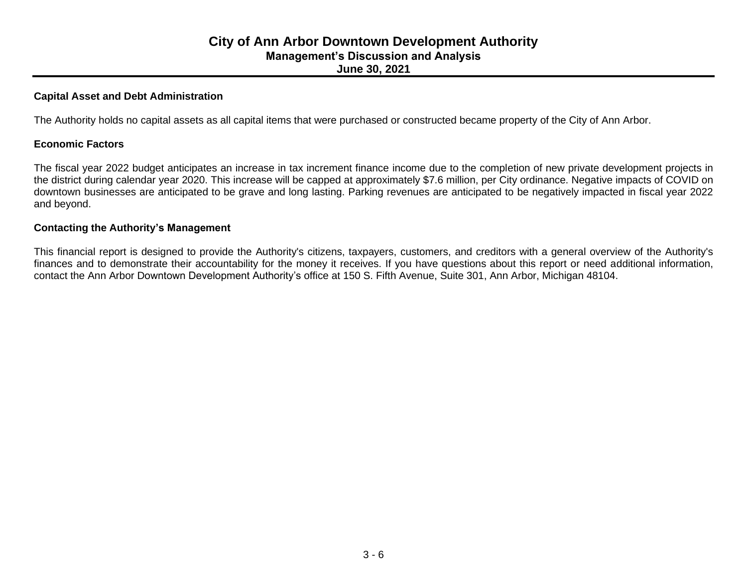### **Capital Asset and Debt Administration**

The Authority holds no capital assets as all capital items that were purchased or constructed became property of the City of Ann Arbor.

# **Economic Factors**

The fiscal year 2022 budget anticipates an increase in tax increment finance income due to the completion of new private development projects in the district during calendar year 2020. This increase will be capped at approximately \$7.6 million, per City ordinance. Negative impacts of COVID on downtown businesses are anticipated to be grave and long lasting. Parking revenues are anticipated to be negatively impacted in fiscal year 2022 and beyond.

### **Contacting the Authority's Management**

This financial report is designed to provide the Authority's citizens, taxpayers, customers, and creditors with a general overview of the Authority's finances and to demonstrate their accountability for the money it receives. If you have questions about this report or need additional information, contact the Ann Arbor Downtown Development Authority's office at 150 S. Fifth Avenue, Suite 301, Ann Arbor, Michigan 48104.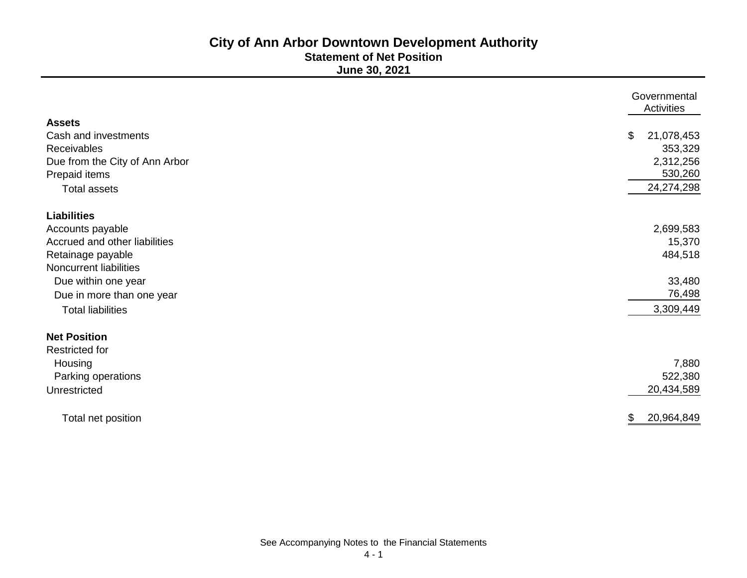# **City of Ann Arbor Downtown Development Authority Statement of Net Position June 30, 2021**

|                                | Governmental<br><b>Activities</b> |
|--------------------------------|-----------------------------------|
| <b>Assets</b>                  |                                   |
| Cash and investments           | \$<br>21,078,453                  |
| Receivables                    | 353,329                           |
| Due from the City of Ann Arbor | 2,312,256                         |
| Prepaid items                  | 530,260                           |
| <b>Total assets</b>            | 24,274,298                        |
| <b>Liabilities</b>             |                                   |
| Accounts payable               | 2,699,583                         |
| Accrued and other liabilities  | 15,370                            |
| Retainage payable              | 484,518                           |
| Noncurrent liabilities         |                                   |
| Due within one year            | 33,480                            |
| Due in more than one year      | 76,498                            |
| <b>Total liabilities</b>       | 3,309,449                         |
| <b>Net Position</b>            |                                   |
| <b>Restricted for</b>          |                                   |
| Housing                        | 7,880                             |
| Parking operations             | 522,380                           |
| Unrestricted                   | 20,434,589                        |
| Total net position             | 20,964,849<br>\$                  |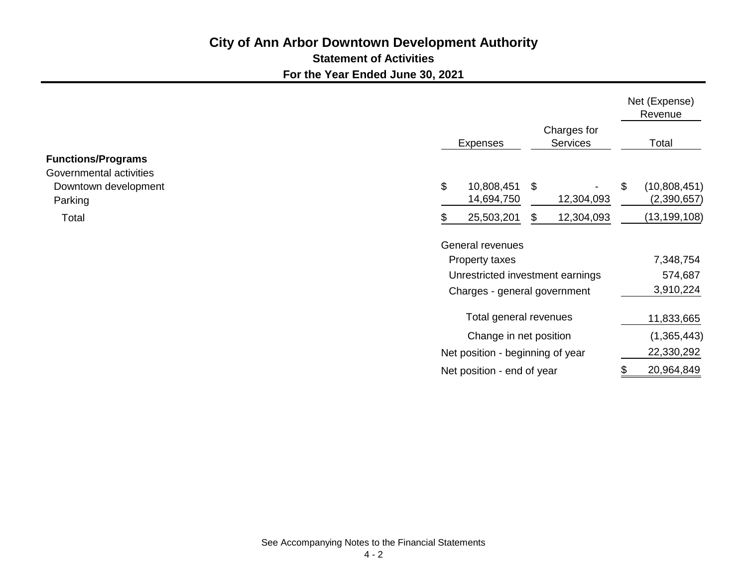# **City of Ann Arbor Downtown Development Authority Statement of Activities For the Year Ended June 30, 2021**

|                                                            |                                                    | Net (Expense)<br>Revenue          |
|------------------------------------------------------------|----------------------------------------------------|-----------------------------------|
|                                                            | Charges for<br><b>Services</b><br>Expenses         | Total                             |
| <b>Functions/Programs</b>                                  |                                                    |                                   |
| Governmental activities<br>Downtown development<br>Parking | \$<br>10,808,451<br>\$<br>14,694,750<br>12,304,093 | \$<br>(10,808,451)<br>(2,390,657) |
| Total                                                      | 25,503,201<br>12,304,093<br>S.                     | (13, 199, 108)                    |
|                                                            | General revenues                                   |                                   |
|                                                            | Property taxes                                     | 7,348,754                         |
|                                                            | Unrestricted investment earnings                   | 574,687                           |
|                                                            | Charges - general government                       | 3,910,224                         |
|                                                            | Total general revenues                             | 11,833,665                        |
|                                                            | Change in net position                             | (1,365,443)                       |
|                                                            | Net position - beginning of year                   | 22,330,292                        |
|                                                            | Net position - end of year                         | 20,964,849                        |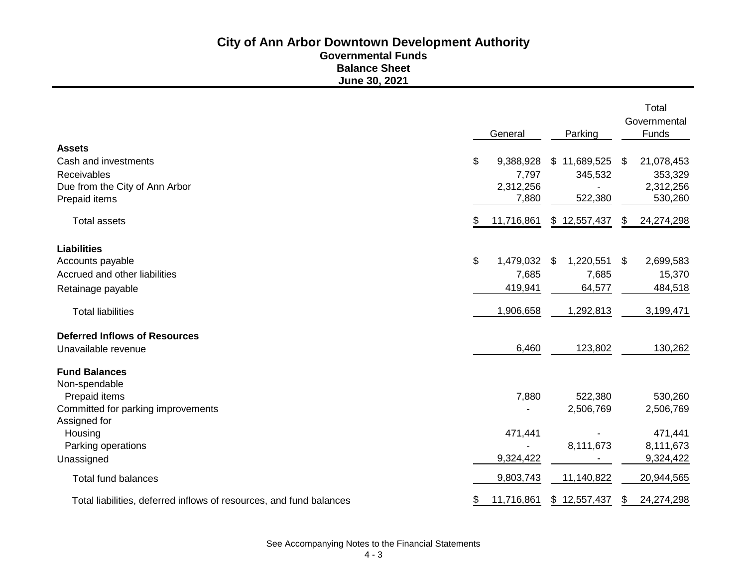# **City of Ann Arbor Downtown Development Authority Governmental Funds Balance Sheet June 30, 2021**

|                                                                     | General          | Parking          |    | Total<br>Governmental<br>Funds |
|---------------------------------------------------------------------|------------------|------------------|----|--------------------------------|
| <b>Assets</b>                                                       |                  |                  |    |                                |
| Cash and investments                                                | \$<br>9,388,928  | 11,689,525<br>\$ | S  | 21,078,453                     |
| Receivables                                                         | 7,797            | 345,532          |    | 353,329                        |
| Due from the City of Ann Arbor                                      | 2,312,256        |                  |    | 2,312,256                      |
| Prepaid items                                                       | 7,880            | 522,380          |    | 530,260                        |
| <b>Total assets</b>                                                 | \$<br>11,716,861 | \$12,557,437     | \$ | 24,274,298                     |
| <b>Liabilities</b>                                                  |                  |                  |    |                                |
| Accounts payable                                                    | \$<br>1,479,032  | 1,220,551<br>-\$ | \$ | 2,699,583                      |
| Accrued and other liabilities                                       | 7,685            | 7,685            |    | 15,370                         |
| Retainage payable                                                   | 419,941          | 64,577           |    | 484,518                        |
| <b>Total liabilities</b>                                            | 1,906,658        | 1,292,813        |    | 3,199,471                      |
| <b>Deferred Inflows of Resources</b>                                |                  |                  |    |                                |
| Unavailable revenue                                                 | 6,460            | 123,802          |    | 130,262                        |
| <b>Fund Balances</b>                                                |                  |                  |    |                                |
| Non-spendable                                                       |                  |                  |    |                                |
| Prepaid items                                                       | 7,880            | 522,380          |    | 530,260                        |
| Committed for parking improvements                                  |                  | 2,506,769        |    | 2,506,769                      |
| Assigned for                                                        |                  |                  |    |                                |
| Housing                                                             | 471,441          |                  |    | 471,441                        |
| Parking operations                                                  |                  | 8,111,673        |    | 8,111,673                      |
| Unassigned                                                          | 9,324,422        |                  |    | 9,324,422                      |
| <b>Total fund balances</b>                                          | 9,803,743        | 11,140,822       |    | 20,944,565                     |
| Total liabilities, deferred inflows of resources, and fund balances | \$<br>11,716,861 | \$12,557,437     | \$ | 24,274,298                     |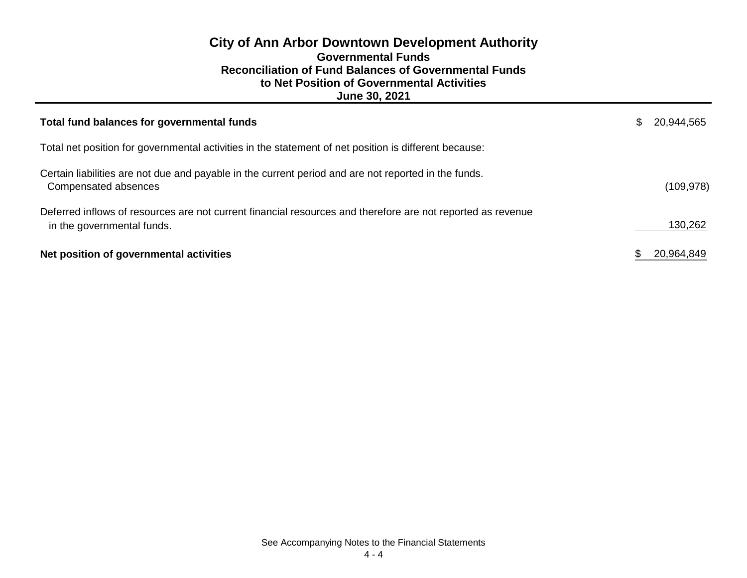# **City of Ann Arbor Downtown Development Authority Reconciliation of Fund Balances of Governmental Funds to Net Position of Governmental Activities June 30, 2021 Governmental Funds**

| Total fund balances for governmental funds                                                                                                | \$<br>20,944,565 |
|-------------------------------------------------------------------------------------------------------------------------------------------|------------------|
| Total net position for governmental activities in the statement of net position is different because:                                     |                  |
| Certain liabilities are not due and payable in the current period and are not reported in the funds.<br>Compensated absences              | (109,978)        |
| Deferred inflows of resources are not current financial resources and therefore are not reported as revenue<br>in the governmental funds. | 130,262          |
| Net position of governmental activities                                                                                                   | 20,964,849       |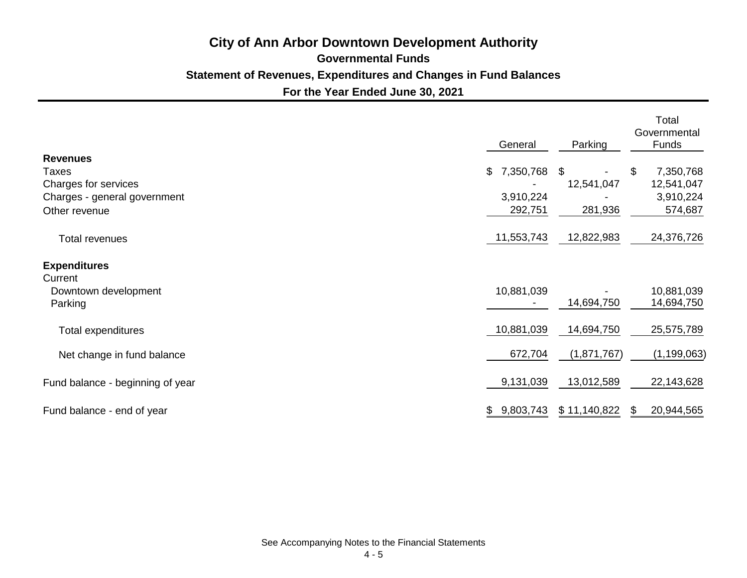# **City of Ann Arbor Downtown Development Authority Governmental Funds Statement of Revenues, Expenditures and Changes in Fund Balances For the Year Ended June 30, 2021**

|                                  | General         | Parking      | Total<br>Governmental<br>Funds |  |
|----------------------------------|-----------------|--------------|--------------------------------|--|
| <b>Revenues</b>                  |                 |              |                                |  |
| Taxes                            | \$<br>7,350,768 | \$           | \$<br>7,350,768                |  |
| Charges for services             |                 | 12,541,047   | 12,541,047                     |  |
| Charges - general government     | 3,910,224       |              | 3,910,224                      |  |
| Other revenue                    | 292,751         | 281,936      | 574,687                        |  |
| Total revenues                   | 11,553,743      | 12,822,983   | 24,376,726                     |  |
| <b>Expenditures</b>              |                 |              |                                |  |
| Current                          |                 |              |                                |  |
| Downtown development<br>Parking  | 10,881,039      | 14,694,750   | 10,881,039<br>14,694,750       |  |
| Total expenditures               | 10,881,039      | 14,694,750   | 25,575,789                     |  |
| Net change in fund balance       | 672,704         | (1,871,767)  | (1, 199, 063)                  |  |
| Fund balance - beginning of year | 9,131,039       | 13,012,589   | 22,143,628                     |  |
| Fund balance - end of year       | \$<br>9,803,743 | \$11,140,822 | 20,944,565<br>\$               |  |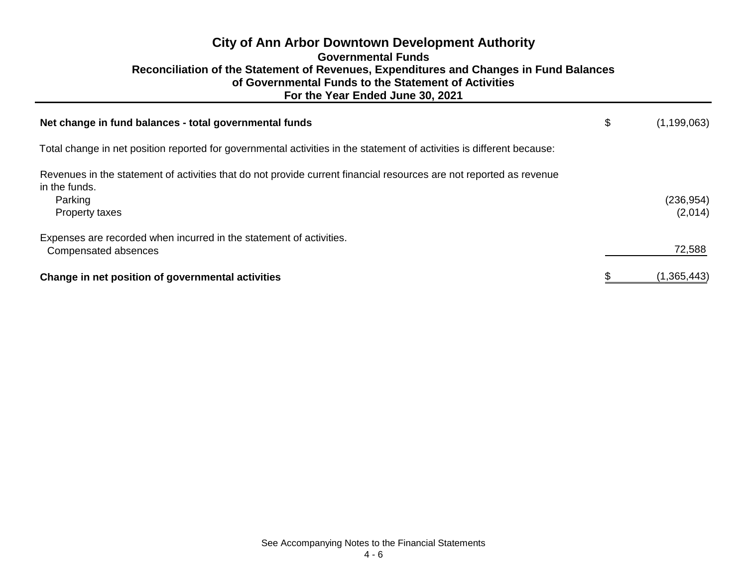# **For the Year Ended June 30, 2021 City of Ann Arbor Downtown Development Authority Governmental Funds Reconciliation of the Statement of Revenues, Expenditures and Changes in Fund Balances of Governmental Funds to the Statement of Activities**

| Net change in fund balances - total governmental funds                                                                                                            | \$<br>(1, 199, 063)   |
|-------------------------------------------------------------------------------------------------------------------------------------------------------------------|-----------------------|
| Total change in net position reported for governmental activities in the statement of activities is different because:                                            |                       |
| Revenues in the statement of activities that do not provide current financial resources are not reported as revenue<br>in the funds.<br>Parking<br>Property taxes | (236, 954)<br>(2,014) |
| Expenses are recorded when incurred in the statement of activities.<br>Compensated absences                                                                       | 72,588                |
| Change in net position of governmental activities                                                                                                                 | (1,365,443)           |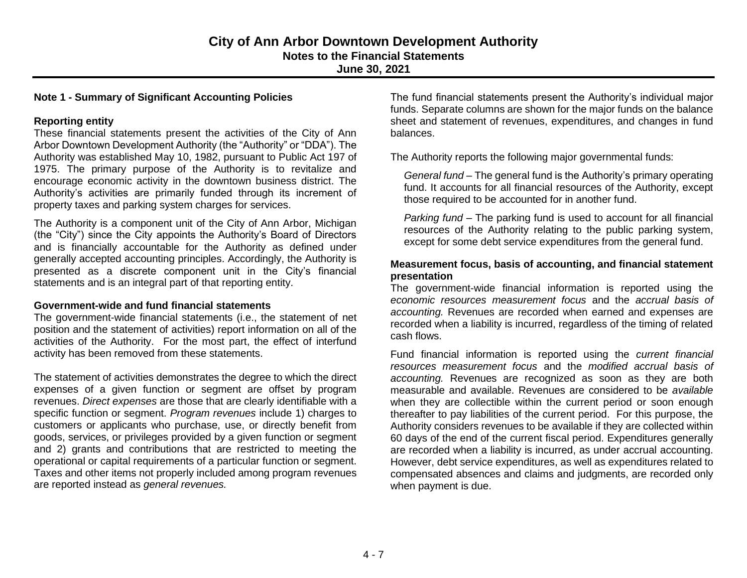# **City of Ann Arbor Downtown Development Authority Notes to the Financial Statements June 30, 2021**

### **Note 1 - Summary of Significant Accounting Policies**

### **Reporting entity**

These financial statements present the activities of the City of Ann Arbor Downtown Development Authority (the "Authority" or "DDA"). The Authority was established May 10, 1982, pursuant to Public Act 197 of 1975. The primary purpose of the Authority is to revitalize and encourage economic activity in the downtown business district. The Authority's activities are primarily funded through its increment of property taxes and parking system charges for services.

The Authority is a component unit of the City of Ann Arbor, Michigan (the "City") since the City appoints the Authority's Board of Directors and is financially accountable for the Authority as defined under generally accepted accounting principles. Accordingly, the Authority is presented as a discrete component unit in the City's financial statements and is an integral part of that reporting entity.

#### **Government-wide and fund financial statements**

The government-wide financial statements (i.e., the statement of net position and the statement of activities) report information on all of the activities of the Authority. For the most part, the effect of interfund activity has been removed from these statements.

The statement of activities demonstrates the degree to which the direct expenses of a given function or segment are offset by program revenues. *Direct expenses* are those that are clearly identifiable with a specific function or segment. *Program revenues* include 1) charges to customers or applicants who purchase, use, or directly benefit from goods, services, or privileges provided by a given function or segment and 2) grants and contributions that are restricted to meeting the operational or capital requirements of a particular function or segment. Taxes and other items not properly included among program revenues are reported instead as *general revenues.*

The fund financial statements present the Authority's individual major funds. Separate columns are shown for the major funds on the balance sheet and statement of revenues, expenditures, and changes in fund balances.

The Authority reports the following major governmental funds:

*General fund –* The general fund is the Authority's primary operating fund. It accounts for all financial resources of the Authority, except those required to be accounted for in another fund.

*Parking fund –* The parking fund is used to account for all financial resources of the Authority relating to the public parking system, except for some debt service expenditures from the general fund.

### **Measurement focus, basis of accounting, and financial statement presentation**

The government-wide financial information is reported using the *economic resources measurement focus* and the *accrual basis of accounting.* Revenues are recorded when earned and expenses are recorded when a liability is incurred, regardless of the timing of related cash flows.

Fund financial information is reported using the *current financial resources measurement focus* and the *modified accrual basis of accounting.* Revenues are recognized as soon as they are both measurable and available. Revenues are considered to be *available*  when they are collectible within the current period or soon enough thereafter to pay liabilities of the current period. For this purpose, the Authority considers revenues to be available if they are collected within 60 days of the end of the current fiscal period. Expenditures generally are recorded when a liability is incurred, as under accrual accounting. However, debt service expenditures, as well as expenditures related to compensated absences and claims and judgments, are recorded only when payment is due.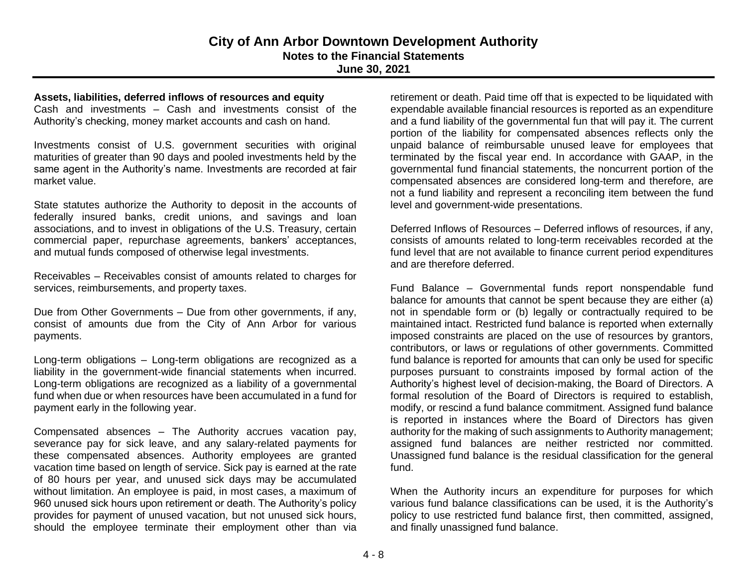#### **Assets, liabilities, deferred inflows of resources and equity** Cash and investments – Cash and investments consist of the Authority's checking, money market accounts and cash on hand.

Investments consist of U.S. government securities with original maturities of greater than 90 days and pooled investments held by the same agent in the Authority's name. Investments are recorded at fair market value.

State statutes authorize the Authority to deposit in the accounts of federally insured banks, credit unions, and savings and loan associations, and to invest in obligations of the U.S. Treasury, certain commercial paper, repurchase agreements, bankers' acceptances, and mutual funds composed of otherwise legal investments.

Receivables – Receivables consist of amounts related to charges for services, reimbursements, and property taxes.

Due from Other Governments – Due from other governments, if any, consist of amounts due from the City of Ann Arbor for various payments.

Long-term obligations – Long-term obligations are recognized as a liability in the government-wide financial statements when incurred. Long-term obligations are recognized as a liability of a governmental fund when due or when resources have been accumulated in a fund for payment early in the following year.

Compensated absences – The Authority accrues vacation pay, severance pay for sick leave, and any salary-related payments for these compensated absences. Authority employees are granted vacation time based on length of service. Sick pay is earned at the rate of 80 hours per year, and unused sick days may be accumulated without limitation. An employee is paid, in most cases, a maximum of 960 unused sick hours upon retirement or death. The Authority's policy provides for payment of unused vacation, but not unused sick hours, should the employee terminate their employment other than via

retirement or death. Paid time off that is expected to be liquidated with expendable available financial resources is reported as an expenditure and a fund liability of the governmental fun that will pay it. The current portion of the liability for compensated absences reflects only the unpaid balance of reimbursable unused leave for employees that terminated by the fiscal year end. In accordance with GAAP, in the governmental fund financial statements, the noncurrent portion of the compensated absences are considered long-term and therefore, are not a fund liability and represent a reconciling item between the fund level and government-wide presentations.

Deferred Inflows of Resources – Deferred inflows of resources, if any, consists of amounts related to long-term receivables recorded at the fund level that are not available to finance current period expenditures and are therefore deferred.

Fund Balance – Governmental funds report nonspendable fund balance for amounts that cannot be spent because they are either (a) not in spendable form or (b) legally or contractually required to be maintained intact. Restricted fund balance is reported when externally imposed constraints are placed on the use of resources by grantors, contributors, or laws or regulations of other governments. Committed fund balance is reported for amounts that can only be used for specific purposes pursuant to constraints imposed by formal action of the Authority's highest level of decision-making, the Board of Directors. A formal resolution of the Board of Directors is required to establish, modify, or rescind a fund balance commitment. Assigned fund balance is reported in instances where the Board of Directors has given authority for the making of such assignments to Authority management; assigned fund balances are neither restricted nor committed. Unassigned fund balance is the residual classification for the general fund.

When the Authority incurs an expenditure for purposes for which various fund balance classifications can be used, it is the Authority's policy to use restricted fund balance first, then committed, assigned, and finally unassigned fund balance.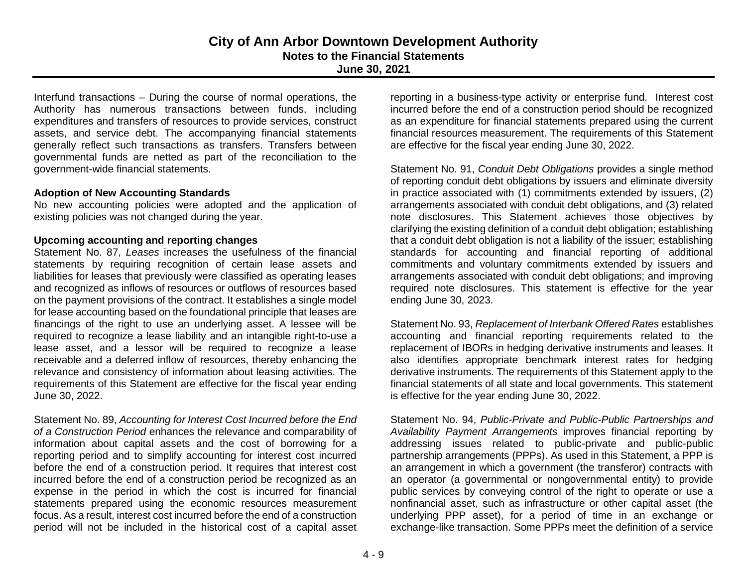Interfund transactions – During the course of normal operations, the Authority has numerous transactions between funds, including expenditures and transfers of resources to provide services, construct assets, and service debt. The accompanying financial statements generally reflect such transactions as transfers. Transfers between governmental funds are netted as part of the reconciliation to the government-wide financial statements.

#### **Adoption of New Accounting Standards**

No new accounting policies were adopted and the application of existing policies was not changed during the year.

### **Upcoming accounting and reporting changes**

Statement No. 87, *Leases* increases the usefulness of the financial statements by requiring recognition of certain lease assets and liabilities for leases that previously were classified as operating leases and recognized as inflows of resources or outflows of resources based on the payment provisions of the contract. It establishes a single model for lease accounting based on the foundational principle that leases are financings of the right to use an underlying asset. A lessee will be required to recognize a lease liability and an intangible right-to-use a lease asset, and a lessor will be required to recognize a lease receivable and a deferred inflow of resources, thereby enhancing the relevance and consistency of information about leasing activities. The requirements of this Statement are effective for the fiscal year ending June 30, 2022.

Statement No. 89, *Accounting for Interest Cost Incurred before the End of a Construction Period* enhances the relevance and comparability of information about capital assets and the cost of borrowing for a reporting period and to simplify accounting for interest cost incurred before the end of a construction period. It requires that interest cost incurred before the end of a construction period be recognized as an expense in the period in which the cost is incurred for financial statements prepared using the economic resources measurement focus. As a result, interest cost incurred before the end of a construction period will not be included in the historical cost of a capital asset

reporting in a business-type activity or enterprise fund. Interest cost incurred before the end of a construction period should be recognized as an expenditure for financial statements prepared using the current financial resources measurement. The requirements of this Statement are effective for the fiscal year ending June 30, 2022.

Statement No. 91, *Conduit Debt Obligations* provides a single method of reporting conduit debt obligations by issuers and eliminate diversity in practice associated with (1) commitments extended by issuers, (2) arrangements associated with conduit debt obligations, and (3) related note disclosures. This Statement achieves those objectives by clarifying the existing definition of a conduit debt obligation; establishing that a conduit debt obligation is not a liability of the issuer; establishing standards for accounting and financial reporting of additional commitments and voluntary commitments extended by issuers and arrangements associated with conduit debt obligations; and improving required note disclosures. This statement is effective for the year ending June 30, 2023.

Statement No. 93, *Replacement of Interbank Offered Rates* establishes accounting and financial reporting requirements related to the replacement of IBORs in hedging derivative instruments and leases. It also identifies appropriate benchmark interest rates for hedging derivative instruments. The requirements of this Statement apply to the financial statements of all state and local governments. This statement is effective for the year ending June 30, 2022.

Statement No. 94, *Public-Private and Public-Public Partnerships and Availability Payment Arrangements* improves financial reporting by addressing issues related to public-private and public-public partnership arrangements (PPPs). As used in this Statement, a PPP is an arrangement in which a government (the transferor) contracts with an operator (a governmental or nongovernmental entity) to provide public services by conveying control of the right to operate or use a nonfinancial asset, such as infrastructure or other capital asset (the underlying PPP asset), for a period of time in an exchange or exchange-like transaction. Some PPPs meet the definition of a service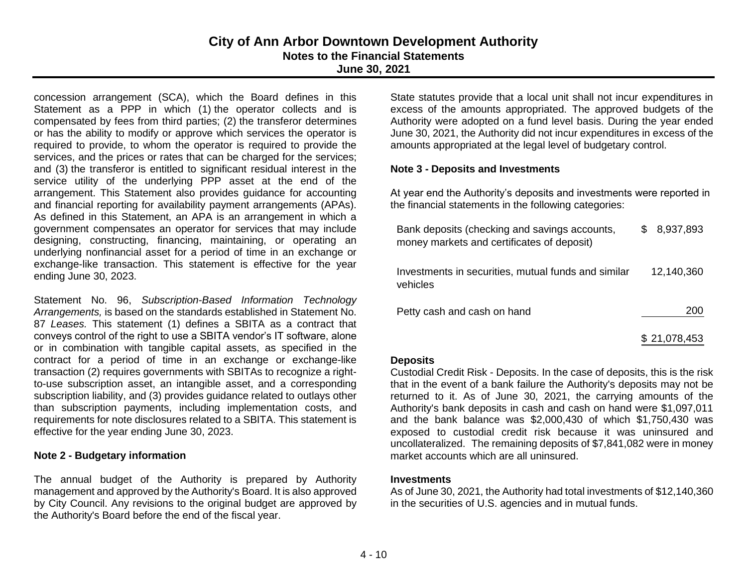# **City of Ann Arbor Downtown Development Authority Notes to the Financial Statements June 30, 2021**

concession arrangement (SCA), which the Board defines in this Statement as a PPP in which (1) the operator collects and is compensated by fees from third parties; (2) the transferor determines or has the ability to modify or approve which services the operator is required to provide, to whom the operator is required to provide the services, and the prices or rates that can be charged for the services; and (3) the transferor is entitled to significant residual interest in the service utility of the underlying PPP asset at the end of the arrangement. This Statement also provides guidance for accounting and financial reporting for availability payment arrangements (APAs). As defined in this Statement, an APA is an arrangement in which a government compensates an operator for services that may include designing, constructing, financing, maintaining, or operating an underlying nonfinancial asset for a period of time in an exchange or exchange-like transaction. This statement is effective for the year ending June 30, 2023.

Statement No. 96, *Subscription-Based Information Technology Arrangements,* is based on the standards established in Statement No. 87 *Leases.* This statement (1) defines a SBITA as a contract that conveys control of the right to use a SBITA vendor's IT software, alone or in combination with tangible capital assets, as specified in the contract for a period of time in an exchange or exchange-like transaction (2) requires governments with SBITAs to recognize a rightto-use subscription asset, an intangible asset, and a corresponding subscription liability, and (3) provides guidance related to outlays other than subscription payments, including implementation costs, and requirements for note disclosures related to a SBITA. This statement is effective for the year ending June 30, 2023.

### **Note 2 - Budgetary information**

The annual budget of the Authority is prepared by Authority management and approved by the Authority's Board. It is also approved by City Council. Any revisions to the original budget are approved by the Authority's Board before the end of the fiscal year.

State statutes provide that a local unit shall not incur expenditures in excess of the amounts appropriated. The approved budgets of the Authority were adopted on a fund level basis. During the year ended June 30, 2021, the Authority did not incur expenditures in excess of the amounts appropriated at the legal level of budgetary control.

### **Note 3 - Deposits and Investments**

At year end the Authority's deposits and investments were reported in the financial statements in the following categories:

| Bank deposits (checking and savings accounts,<br>money markets and certificates of deposit) | 8,937,893<br>æ. |
|---------------------------------------------------------------------------------------------|-----------------|
| Investments in securities, mutual funds and similar<br>vehicles                             | 12,140,360      |
| Petty cash and cash on hand                                                                 | 200             |
|                                                                                             | \$21,078,453    |

# **Deposits**

Custodial Credit Risk - Deposits. In the case of deposits, this is the risk that in the event of a bank failure the Authority's deposits may not be returned to it. As of June 30, 2021, the carrying amounts of the Authority's bank deposits in cash and cash on hand were \$1,097,011 and the bank balance was \$2,000,430 of which \$1,750,430 was exposed to custodial credit risk because it was uninsured and uncollateralized. The remaining deposits of \$7,841,082 were in money market accounts which are all uninsured.

### **Investments**

As of June 30, 2021, the Authority had total investments of \$12,140,360 in the securities of U.S. agencies and in mutual funds.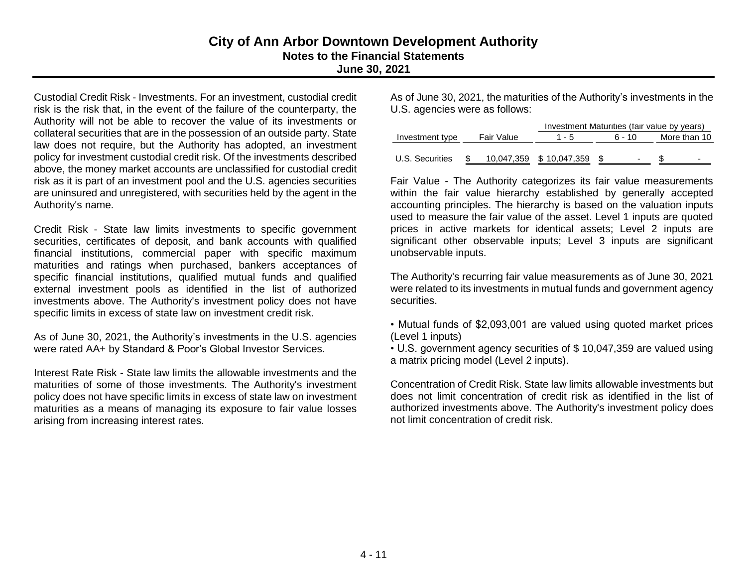# **City of Ann Arbor Downtown Development Authority Notes to the Financial Statements June 30, 2021**

Custodial Credit Risk - Investments. For an investment, custodial credit risk is the risk that, in the event of the failure of the counterparty, the Authority will not be able to recover the value of its investments or collateral securities that are in the possession of an outside party. State law does not require, but the Authority has adopted, an investment policy for investment custodial credit risk. Of the investments described above, the money market accounts are unclassified for custodial credit risk as it is part of an investment pool and the U.S. agencies securities are uninsured and unregistered, with securities held by the agent in the Authority's name.

Credit Risk - State law limits investments to specific government securities, certificates of deposit, and bank accounts with qualified financial institutions, commercial paper with specific maximum maturities and ratings when purchased, bankers acceptances of specific financial institutions, qualified mutual funds and qualified external investment pools as identified in the list of authorized investments above. The Authority's investment policy does not have specific limits in excess of state law on investment credit risk.

As of June 30, 2021, the Authority's investments in the U.S. agencies were rated AA+ by Standard & Poor's Global Investor Services.

Interest Rate Risk - State law limits the allowable investments and the maturities of some of those investments. The Authority's investment policy does not have specific limits in excess of state law on investment maturities as a means of managing its exposure to fair value losses arising from increasing interest rates.

As of June 30, 2021, the maturities of the Authority's investments in the U.S. agencies were as follows:

|                 |  |            | Investment Maturities (fair value by years) |        |  |              |  |  |  |
|-----------------|--|------------|---------------------------------------------|--------|--|--------------|--|--|--|
| Investment type |  | Fair Value | $1 - 5$                                     | ჩ - 10 |  | More than 10 |  |  |  |
|                 |  |            |                                             |        |  |              |  |  |  |
| U.S. Securities |  |            | 10,047,359 \$10,047,359                     |        |  |              |  |  |  |

Fair Value - The Authority categorizes its fair value measurements within the fair value hierarchy established by generally accepted accounting principles. The hierarchy is based on the valuation inputs used to measure the fair value of the asset. Level 1 inputs are quoted prices in active markets for identical assets; Level 2 inputs are significant other observable inputs; Level 3 inputs are significant unobservable inputs.

The Authority's recurring fair value measurements as of June 30, 2021 were related to its investments in mutual funds and government agency securities.

• Mutual funds of \$2,093,001 are valued using quoted market prices (Level 1 inputs)

• U.S. government agency securities of \$ 10,047,359 are valued using a matrix pricing model (Level 2 inputs).

Concentration of Credit Risk. State law limits allowable investments but does not limit concentration of credit risk as identified in the list of authorized investments above. The Authority's investment policy does not limit concentration of credit risk.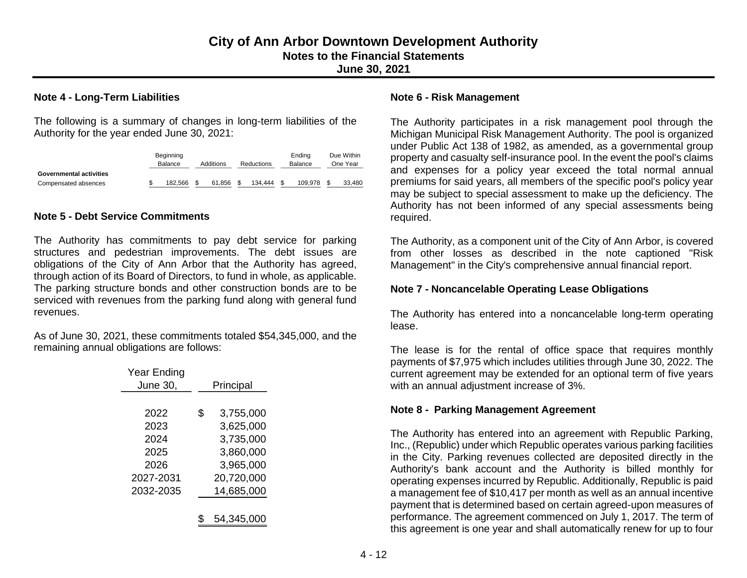### **Note 4 - Long-Term Liabilities**

The following is a summary of changes in long-term liabilities of the Authority for the year ended June 30, 2021:

|                                | Beginning<br>Balance | Additions | Reductions |         | Ending<br>Balance |         | Due Within<br>One Year |        |  |
|--------------------------------|----------------------|-----------|------------|---------|-------------------|---------|------------------------|--------|--|
| <b>Governmental activities</b> |                      |           |            |         |                   |         |                        |        |  |
| Compensated absences           | 182.566              | 61.856    |            | 134.444 |                   | 109.978 |                        | 33.480 |  |

#### **Note 5 - Debt Service Commitments**

The Authority has commitments to pay debt service for parking structures and pedestrian improvements. The debt issues are obligations of the City of Ann Arbor that the Authority has agreed, through action of its Board of Directors, to fund in whole, as applicable. The parking structure bonds and other construction bonds are to be serviced with revenues from the parking fund along with general fund revenues.

As of June 30, 2021, these commitments totaled \$54,345,000, and the remaining annual obligations are follows:

| Year Ending<br>June 30, | Principal |            |  |  |  |  |
|-------------------------|-----------|------------|--|--|--|--|
|                         |           |            |  |  |  |  |
| 2022                    | \$        | 3,755,000  |  |  |  |  |
| 2023                    |           | 3,625,000  |  |  |  |  |
| 2024                    |           | 3,735,000  |  |  |  |  |
| 2025                    |           | 3,860,000  |  |  |  |  |
| 2026                    |           | 3,965,000  |  |  |  |  |
| 2027-2031               |           | 20,720,000 |  |  |  |  |
| 2032-2035               |           | 14,685,000 |  |  |  |  |
|                         |           |            |  |  |  |  |
|                         |           | 54,345,000 |  |  |  |  |

#### **Note 6 - Risk Management**

The Authority participates in a risk management pool through the Michigan Municipal Risk Management Authority. The pool is organized under Public Act 138 of 1982, as amended, as a governmental group property and casualty self-insurance pool. In the event the pool's claims and expenses for a policy year exceed the total normal annual premiums for said years, all members of the specific pool's policy year may be subject to special assessment to make up the deficiency. The Authority has not been informed of any special assessments being required.

The Authority, as a component unit of the City of Ann Arbor, is covered from other losses as described in the note captioned "Risk Management" in the City's comprehensive annual financial report.

### **Note 7 - Noncancelable Operating Lease Obligations**

The Authority has entered into a noncancelable long-term operating lease.

The lease is for the rental of office space that requires monthly payments of \$7,975 which includes utilities through June 30, 2022. The current agreement may be extended for an optional term of five years with an annual adjustment increase of 3%.

#### **Note 8 - Parking Management Agreement**

The Authority has entered into an agreement with Republic Parking, Inc., (Republic) under which Republic operates various parking facilities in the City. Parking revenues collected are deposited directly in the Authority's bank account and the Authority is billed monthly for operating expenses incurred by Republic. Additionally, Republic is paid a management fee of \$10,417 per month as well as an annual incentive payment that is determined based on certain agreed-upon measures of performance. The agreement commenced on July 1, 2017. The term of this agreement is one year and shall automatically renew for up to four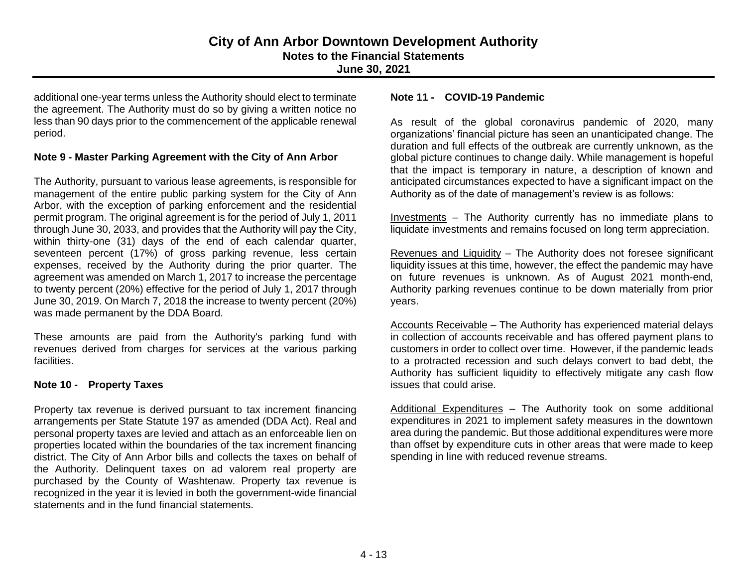# **City of Ann Arbor Downtown Development Authority Notes to the Financial Statements**

**June 30, 2021**

additional one-year terms unless the Authority should elect to terminate the agreement. The Authority must do so by giving a written notice no less than 90 days prior to the commencement of the applicable renewal period.

### **Note 9 - Master Parking Agreement with the City of Ann Arbor**

The Authority, pursuant to various lease agreements, is responsible for management of the entire public parking system for the City of Ann Arbor, with the exception of parking enforcement and the residential permit program. The original agreement is for the period of July 1, 2011 through June 30, 2033, and provides that the Authority will pay the City, within thirty-one (31) days of the end of each calendar quarter, seventeen percent (17%) of gross parking revenue, less certain expenses, received by the Authority during the prior quarter. The agreement was amended on March 1, 2017 to increase the percentage to twenty percent (20%) effective for the period of July 1, 2017 through June 30, 2019. On March 7, 2018 the increase to twenty percent (20%) was made permanent by the DDA Board.

These amounts are paid from the Authority's parking fund with revenues derived from charges for services at the various parking facilities.

### **Note 10 - Property Taxes**

Property tax revenue is derived pursuant to tax increment financing arrangements per State Statute 197 as amended (DDA Act). Real and personal property taxes are levied and attach as an enforceable lien on properties located within the boundaries of the tax increment financing district. The City of Ann Arbor bills and collects the taxes on behalf of the Authority. Delinquent taxes on ad valorem real property are purchased by the County of Washtenaw. Property tax revenue is recognized in the year it is levied in both the government-wide financial statements and in the fund financial statements.

#### **Note 11 - COVID-19 Pandemic**

As result of the global coronavirus pandemic of 2020, many organizations' financial picture has seen an unanticipated change. The duration and full effects of the outbreak are currently unknown, as the global picture continues to change daily. While management is hopeful that the impact is temporary in nature, a description of known and anticipated circumstances expected to have a significant impact on the Authority as of the date of management's review is as follows:

Investments – The Authority currently has no immediate plans to liquidate investments and remains focused on long term appreciation.

Revenues and Liquidity – The Authority does not foresee significant liquidity issues at this time, however, the effect the pandemic may have on future revenues is unknown. As of August 2021 month-end, Authority parking revenues continue to be down materially from prior years.

Accounts Receivable – The Authority has experienced material delays in collection of accounts receivable and has offered payment plans to customers in order to collect over time. However, if the pandemic leads to a protracted recession and such delays convert to bad debt, the Authority has sufficient liquidity to effectively mitigate any cash flow issues that could arise.

Additional Expenditures – The Authority took on some additional expenditures in 2021 to implement safety measures in the downtown area during the pandemic. But those additional expenditures were more than offset by expenditure cuts in other areas that were made to keep spending in line with reduced revenue streams.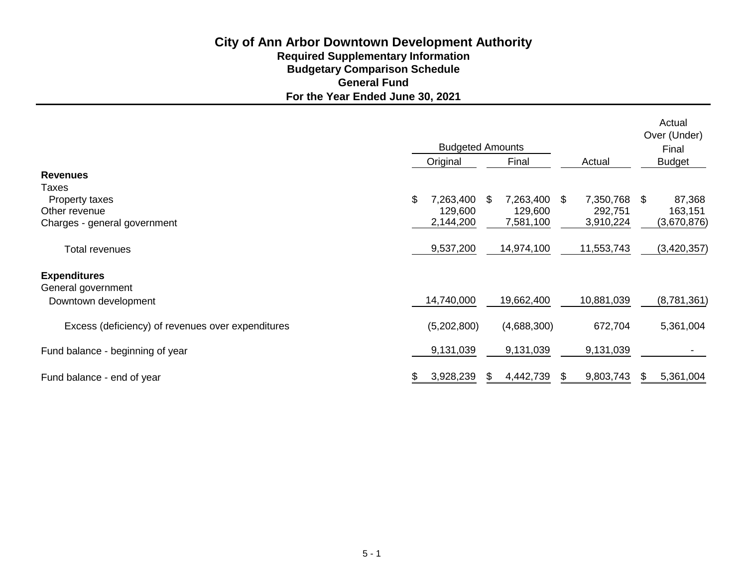# **For the Year Ended June 30, 2021 City of Ann Arbor Downtown Development Authority Required Supplementary Information Budgetary Comparison Schedule General Fund**

|                                                   |          | <b>Budgeted Amounts</b> |     |             |      |            | Actual<br>Over (Under)<br>Final |               |
|---------------------------------------------------|----------|-------------------------|-----|-------------|------|------------|---------------------------------|---------------|
|                                                   | Original |                         |     | Final       |      | Actual     |                                 | <b>Budget</b> |
| <b>Revenues</b><br>Taxes                          |          |                         |     |             |      |            |                                 |               |
| Property taxes                                    | \$       | 7,263,400               | \$. | 7,263,400   | - SS | 7,350,768  | - \$                            | 87,368        |
| Other revenue                                     |          | 129,600                 |     | 129,600     |      | 292,751    |                                 | 163,151       |
| Charges - general government                      |          | 2,144,200               |     | 7,581,100   |      | 3,910,224  |                                 | (3,670,876)   |
| Total revenues                                    |          | 9,537,200               |     | 14,974,100  |      | 11,553,743 |                                 | (3, 420, 357) |
| <b>Expenditures</b>                               |          |                         |     |             |      |            |                                 |               |
| General government                                |          |                         |     |             |      |            |                                 |               |
| Downtown development                              |          | 14,740,000              |     | 19,662,400  |      | 10,881,039 |                                 | (8,781,361)   |
| Excess (deficiency) of revenues over expenditures |          | (5,202,800)             |     | (4,688,300) |      | 672,704    |                                 | 5,361,004     |
| Fund balance - beginning of year                  |          | 9,131,039               |     | 9,131,039   |      | 9,131,039  |                                 |               |
| Fund balance - end of year                        |          | 3,928,239               |     | 4,442,739   |      | 9,803,743  | £.                              | 5,361,004     |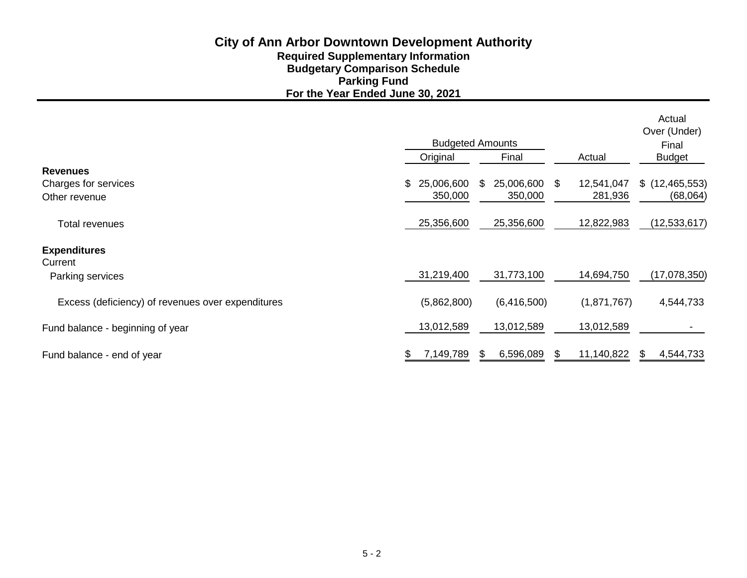# **For the Year Ended June 30, 2021 City of Ann Arbor Downtown Development Authority Required Supplementary Information Budgetary Comparison Schedule Parking Fund**

|                                                   |                  |                         |               |    |             | Actual<br>Over (Under) |  |
|---------------------------------------------------|------------------|-------------------------|---------------|----|-------------|------------------------|--|
|                                                   |                  | <b>Budgeted Amounts</b> |               |    | Final       |                        |  |
|                                                   | Original         |                         | Final         |    | Actual      | <b>Budget</b>          |  |
| <b>Revenues</b>                                   |                  |                         |               |    |             |                        |  |
| Charges for services                              | \$<br>25,006,600 | S.                      | 25,006,600    | \$ | 12,541,047  | \$(12, 465, 553)       |  |
| Other revenue                                     | 350,000          |                         | 350,000       |    | 281,936     | (68,064)               |  |
| <b>Total revenues</b>                             | 25,356,600       |                         | 25,356,600    |    | 12,822,983  | (12, 533, 617)         |  |
| <b>Expenditures</b>                               |                  |                         |               |    |             |                        |  |
| Current                                           |                  |                         |               |    |             |                        |  |
| Parking services                                  | 31,219,400       |                         | 31,773,100    |    | 14,694,750  | (17,078,350)           |  |
| Excess (deficiency) of revenues over expenditures | (5,862,800)      |                         | (6, 416, 500) |    | (1,871,767) | 4,544,733              |  |
| Fund balance - beginning of year                  | 13,012,589       |                         | 13,012,589    |    | 13,012,589  |                        |  |
| Fund balance - end of year                        | 7,149,789<br>\$  |                         | 6,596,089     | S  | 11,140,822  | 4,544,733              |  |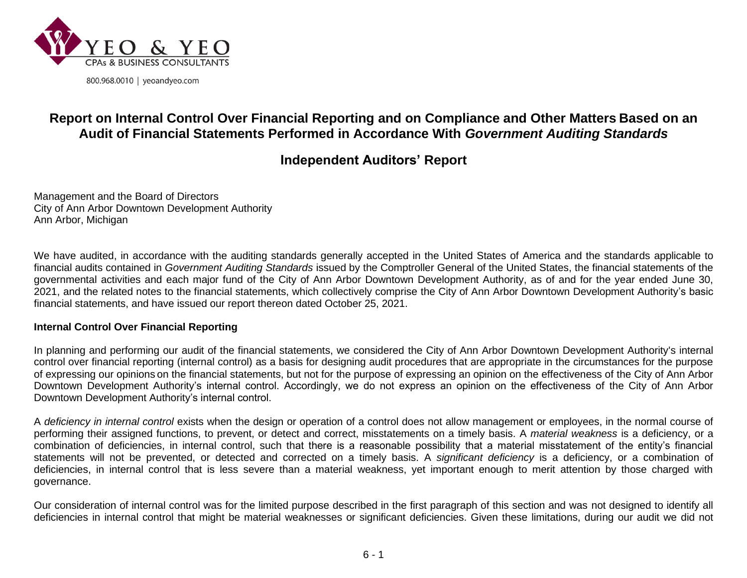

# **Report on Internal Control Over Financial Reporting and on Compliance and Other Matters Based on an Audit of Financial Statements Performed in Accordance With** *Government Auditing Standards*

# **Independent Auditors' Report**

Management and the Board of Directors City of Ann Arbor Downtown Development Authority Ann Arbor, Michigan

We have audited, in accordance with the auditing standards generally accepted in the United States of America and the standards applicable to financial audits contained in *Government Auditing Standards* issued by the Comptroller General of the United States, the financial statements of the governmental activities and each major fund of the City of Ann Arbor Downtown Development Authority, as of and for the year ended June 30, 2021, and the related notes to the financial statements, which collectively comprise the City of Ann Arbor Downtown Development Authority's basic financial statements, and have issued our report thereon dated October 25, 2021.

# **Internal Control Over Financial Reporting**

In planning and performing our audit of the financial statements, we considered the City of Ann Arbor Downtown Development Authority's internal control over financial reporting (internal control) as a basis for designing audit procedures that are appropriate in the circumstances for the purpose of expressing our opinions on the financial statements, but not for the purpose of expressing an opinion on the effectiveness of the City of Ann Arbor Downtown Development Authority's internal control. Accordingly, we do not express an opinion on the effectiveness of the City of Ann Arbor Downtown Development Authority's internal control.

A *deficiency in internal control* exists when the design or operation of a control does not allow management or employees, in the normal course of performing their assigned functions, to prevent, or detect and correct, misstatements on a timely basis. A *material weakness* is a deficiency, or a combination of deficiencies, in internal control, such that there is a reasonable possibility that a material misstatement of the entity's financial statements will not be prevented, or detected and corrected on a timely basis. A *significant deficiency* is a deficiency, or a combination of deficiencies, in internal control that is less severe than a material weakness, yet important enough to merit attention by those charged with governance.

Our consideration of internal control was for the limited purpose described in the first paragraph of this section and was not designed to identify all deficiencies in internal control that might be material weaknesses or significant deficiencies. Given these limitations, during our audit we did not